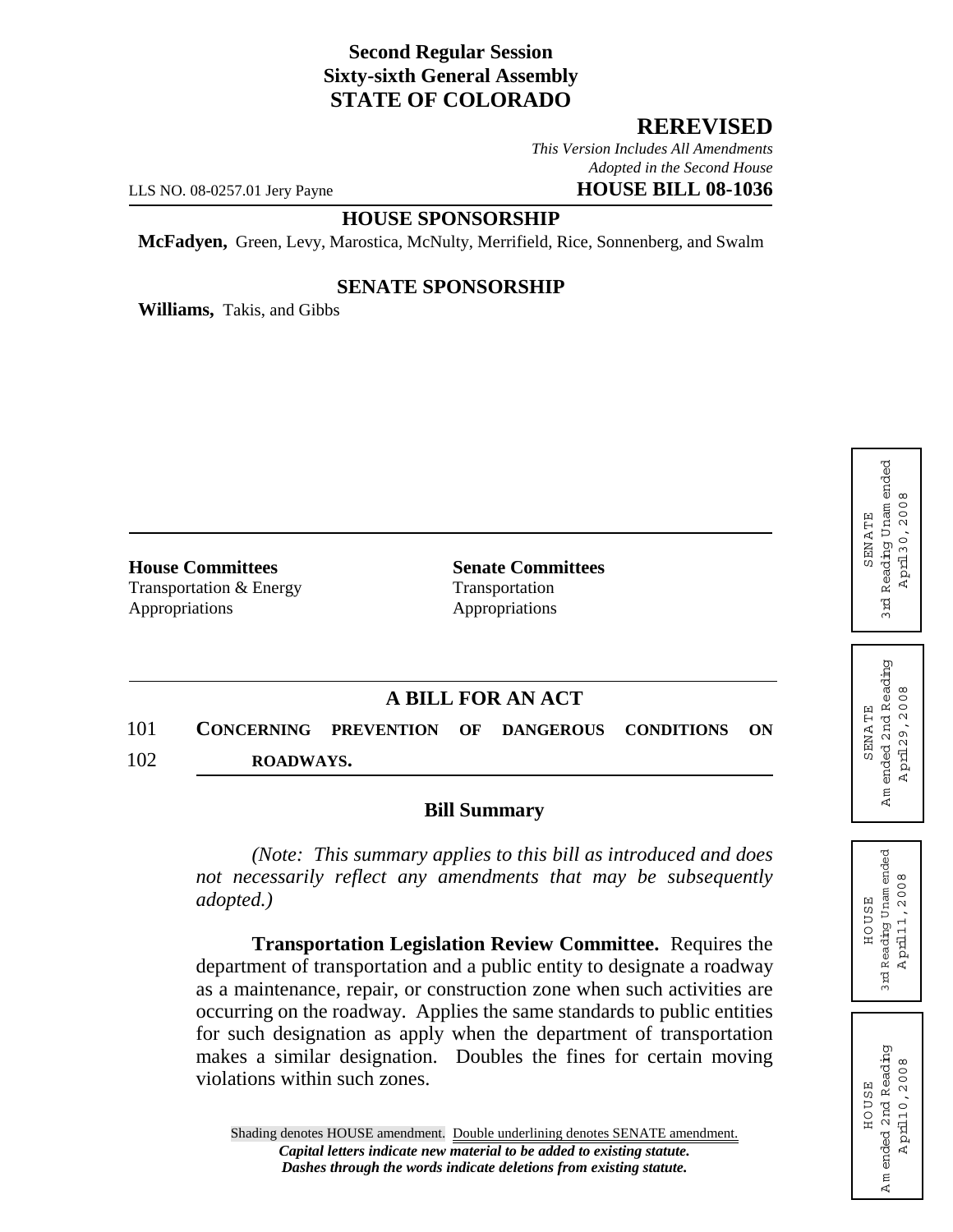# **Second Regular Session Sixty-sixth General Assembly STATE OF COLORADO**

## **REREVISED**

*This Version Includes All Amendments Adopted in the Second House* LLS NO. 08-0257.01 Jery Payne **HOUSE BILL 08-1036**

### **HOUSE SPONSORSHIP**

**McFadyen,** Green, Levy, Marostica, McNulty, Merrifield, Rice, Sonnenberg, and Swalm

#### **SENATE SPONSORSHIP**

**Williams,** Takis, and Gibbs

**House Committees Senate Committees** Transportation & Energy Transportation Appropriations Appropriations

## **A BILL FOR AN ACT**

101 **CONCERNING PREVENTION OF DANGEROUS CONDITIONS ON** 102 **ROADWAYS.**

#### **Bill Summary**

*(Note: This summary applies to this bill as introduced and does not necessarily reflect any amendments that may be subsequently adopted.)*

**Transportation Legislation Review Committee.** Requires the department of transportation and a public entity to designate a roadway as a maintenance, repair, or construction zone when such activities are occurring on the roadway. Applies the same standards to public entities for such designation as apply when the department of transportation makes a similar designation. Doubles the fines for certain moving violations within such zones.

Reading Unam ended 3rd Reading Unam ended April 30, 2008 A pril30,2008 **SENATE** SENA TE 3 rd

ended 2nd Reading A m ended 2nd Reading April 29, 2008 A pril29,2008 **SENATE** SENA TE  $Am$ 

HOUSE 3rd Reading Unam ended A pril11,2008

Reading Unam ended<br>April 1, 2008 HOUSE

3 rd

HOUSE A m ended 2nd Reading A pril10,2008

**HOUSE** 

Am ended 2nd Reading pril 10, 2008

 $\overline{A}$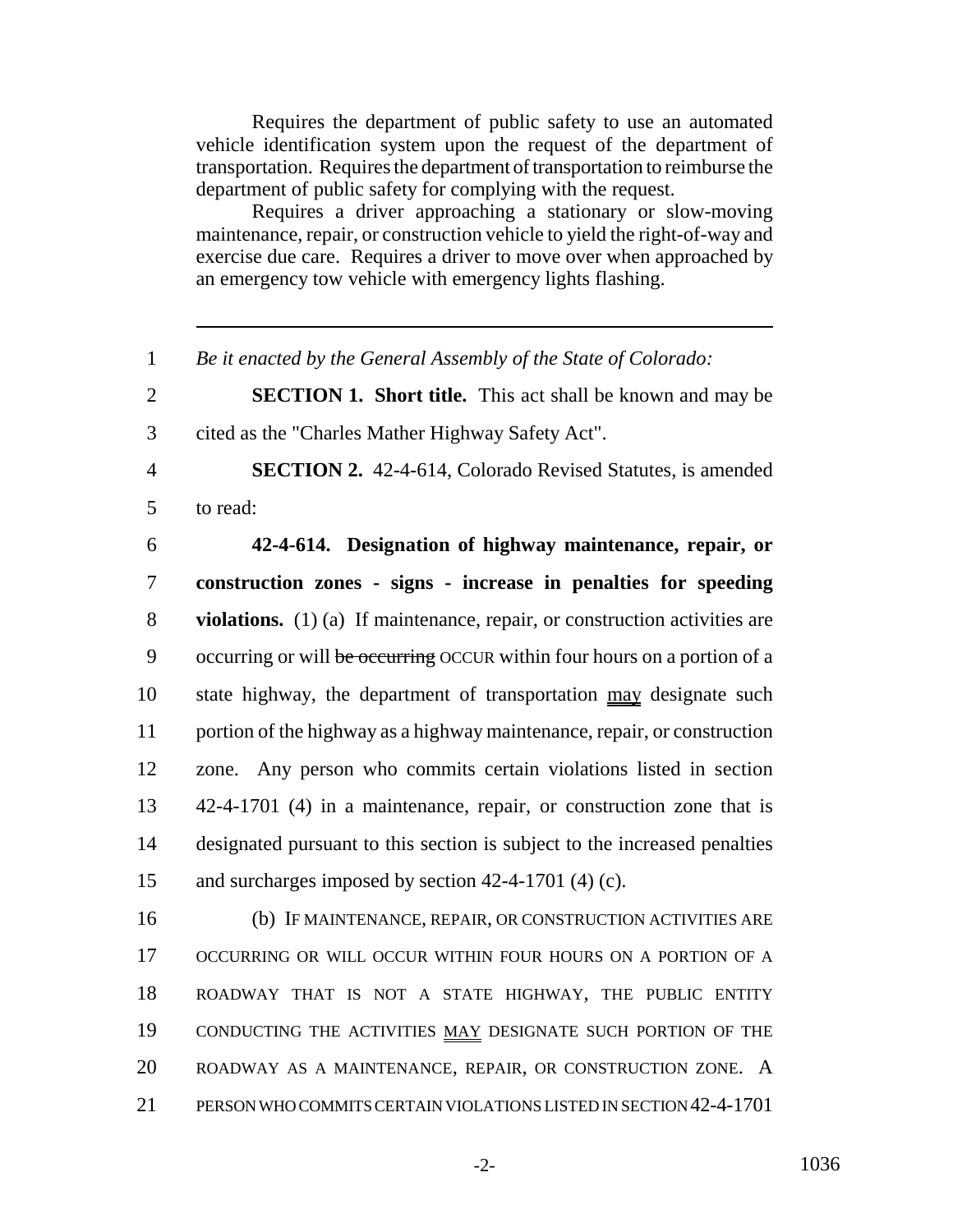Requires the department of public safety to use an automated vehicle identification system upon the request of the department of transportation. Requires the department of transportation to reimburse the department of public safety for complying with the request.

Requires a driver approaching a stationary or slow-moving maintenance, repair, or construction vehicle to yield the right-of-way and exercise due care. Requires a driver to move over when approached by an emergency tow vehicle with emergency lights flashing.

*Be it enacted by the General Assembly of the State of Colorado:*

 **SECTION 1. Short title.** This act shall be known and may be cited as the "Charles Mather Highway Safety Act".

 **SECTION 2.** 42-4-614, Colorado Revised Statutes, is amended to read:

 **42-4-614. Designation of highway maintenance, repair, or construction zones - signs - increase in penalties for speeding violations.** (1) (a) If maintenance, repair, or construction activities are 9 occurring or will be occurring OCCUR within four hours on a portion of a state highway, the department of transportation may designate such portion of the highway as a highway maintenance, repair, or construction zone. Any person who commits certain violations listed in section 42-4-1701 (4) in a maintenance, repair, or construction zone that is designated pursuant to this section is subject to the increased penalties and surcharges imposed by section 42-4-1701 (4) (c).

 (b) IF MAINTENANCE, REPAIR, OR CONSTRUCTION ACTIVITIES ARE OCCURRING OR WILL OCCUR WITHIN FOUR HOURS ON A PORTION OF A ROADWAY THAT IS NOT A STATE HIGHWAY, THE PUBLIC ENTITY 19 CONDUCTING THE ACTIVITIES MAY DESIGNATE SUCH PORTION OF THE ROADWAY AS A MAINTENANCE, REPAIR, OR CONSTRUCTION ZONE. A PERSON WHO COMMITS CERTAIN VIOLATIONS LISTED IN SECTION 42-4-1701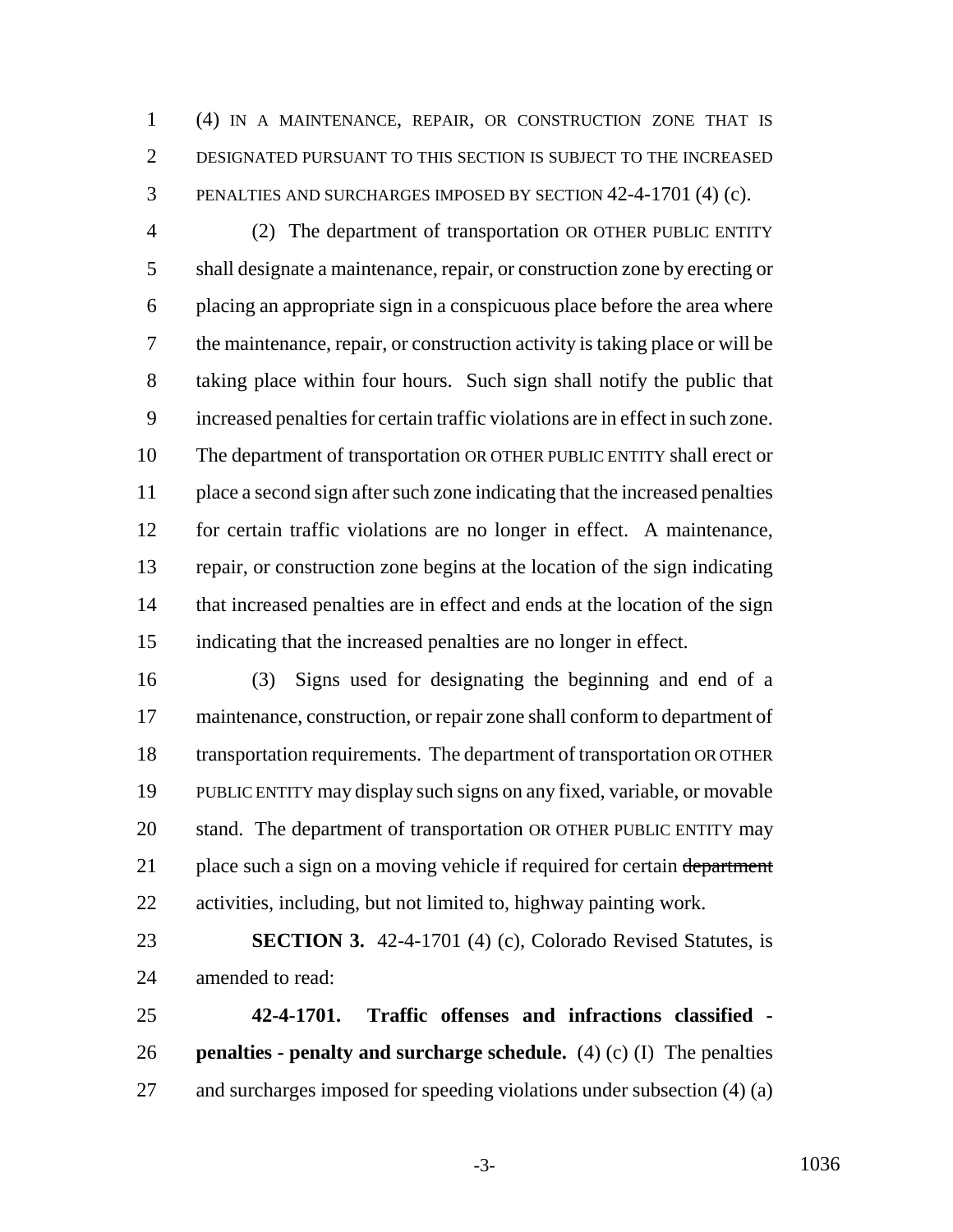(4) IN A MAINTENANCE, REPAIR, OR CONSTRUCTION ZONE THAT IS DESIGNATED PURSUANT TO THIS SECTION IS SUBJECT TO THE INCREASED PENALTIES AND SURCHARGES IMPOSED BY SECTION 42-4-1701 (4) (c).

 (2) The department of transportation OR OTHER PUBLIC ENTITY shall designate a maintenance, repair, or construction zone by erecting or placing an appropriate sign in a conspicuous place before the area where the maintenance, repair, or construction activity is taking place or will be taking place within four hours. Such sign shall notify the public that increased penalties for certain traffic violations are in effect in such zone. The department of transportation OR OTHER PUBLIC ENTITY shall erect or place a second sign after such zone indicating that the increased penalties for certain traffic violations are no longer in effect. A maintenance, repair, or construction zone begins at the location of the sign indicating that increased penalties are in effect and ends at the location of the sign indicating that the increased penalties are no longer in effect.

 (3) Signs used for designating the beginning and end of a maintenance, construction, or repair zone shall conform to department of transportation requirements. The department of transportation OR OTHER PUBLIC ENTITY may display such signs on any fixed, variable, or movable stand. The department of transportation OR OTHER PUBLIC ENTITY may 21 place such a sign on a moving vehicle if required for certain department activities, including, but not limited to, highway painting work.

 **SECTION 3.** 42-4-1701 (4) (c), Colorado Revised Statutes, is amended to read:

 **42-4-1701. Traffic offenses and infractions classified - penalties - penalty and surcharge schedule.** (4) (c) (I) The penalties and surcharges imposed for speeding violations under subsection (4) (a)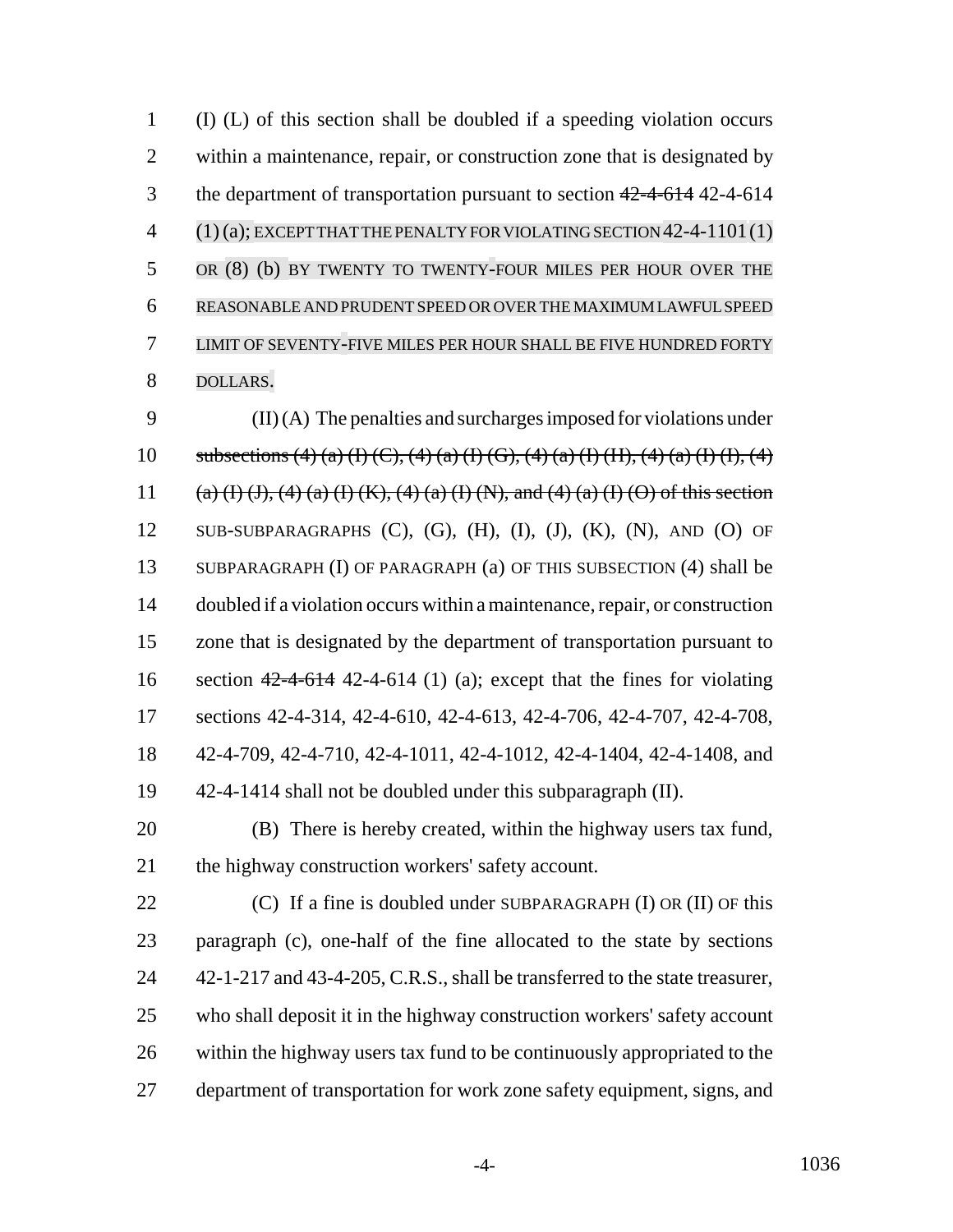(I) (L) of this section shall be doubled if a speeding violation occurs within a maintenance, repair, or construction zone that is designated by 3 the department of transportation pursuant to section  $42-4-614$  42-4-614 (1)(a); EXCEPT THAT THE PENALTY FOR VIOLATING SECTION 42-4-1101(1) OR (8) (b) BY TWENTY TO TWENTY-FOUR MILES PER HOUR OVER THE REASONABLE AND PRUDENT SPEED OR OVER THE MAXIMUM LAWFUL SPEED LIMIT OF SEVENTY-FIVE MILES PER HOUR SHALL BE FIVE HUNDRED FORTY DOLLARS.

 (II) (A) The penalties and surcharges imposed for violations under 10 subsections (4) (a) (I) (C), (4) (a) (I) (G), (4) (a) (I) (II), (4) (a) (I) (I), (4) 11 (a) (I) (J), (4) (a) (I) (K), (4) (a) (I) (N), and (4) (a) (I) (O) of this section SUB-SUBPARAGRAPHS (C), (G), (H), (I), (J), (K), (N), AND (O) OF SUBPARAGRAPH (I) OF PARAGRAPH (a) OF THIS SUBSECTION (4) shall be doubled if a violation occurs within a maintenance, repair, or construction zone that is designated by the department of transportation pursuant to 16 section  $42-4-614$  42-4-614 (1) (a); except that the fines for violating sections 42-4-314, 42-4-610, 42-4-613, 42-4-706, 42-4-707, 42-4-708, 42-4-709, 42-4-710, 42-4-1011, 42-4-1012, 42-4-1404, 42-4-1408, and 42-4-1414 shall not be doubled under this subparagraph (II).

 (B) There is hereby created, within the highway users tax fund, 21 the highway construction workers' safety account.

 $(C)$  If a fine is doubled under SUBPARAGRAPH (I) OR (II) OF this paragraph (c), one-half of the fine allocated to the state by sections 24 42-1-217 and 43-4-205, C.R.S., shall be transferred to the state treasurer, who shall deposit it in the highway construction workers' safety account within the highway users tax fund to be continuously appropriated to the department of transportation for work zone safety equipment, signs, and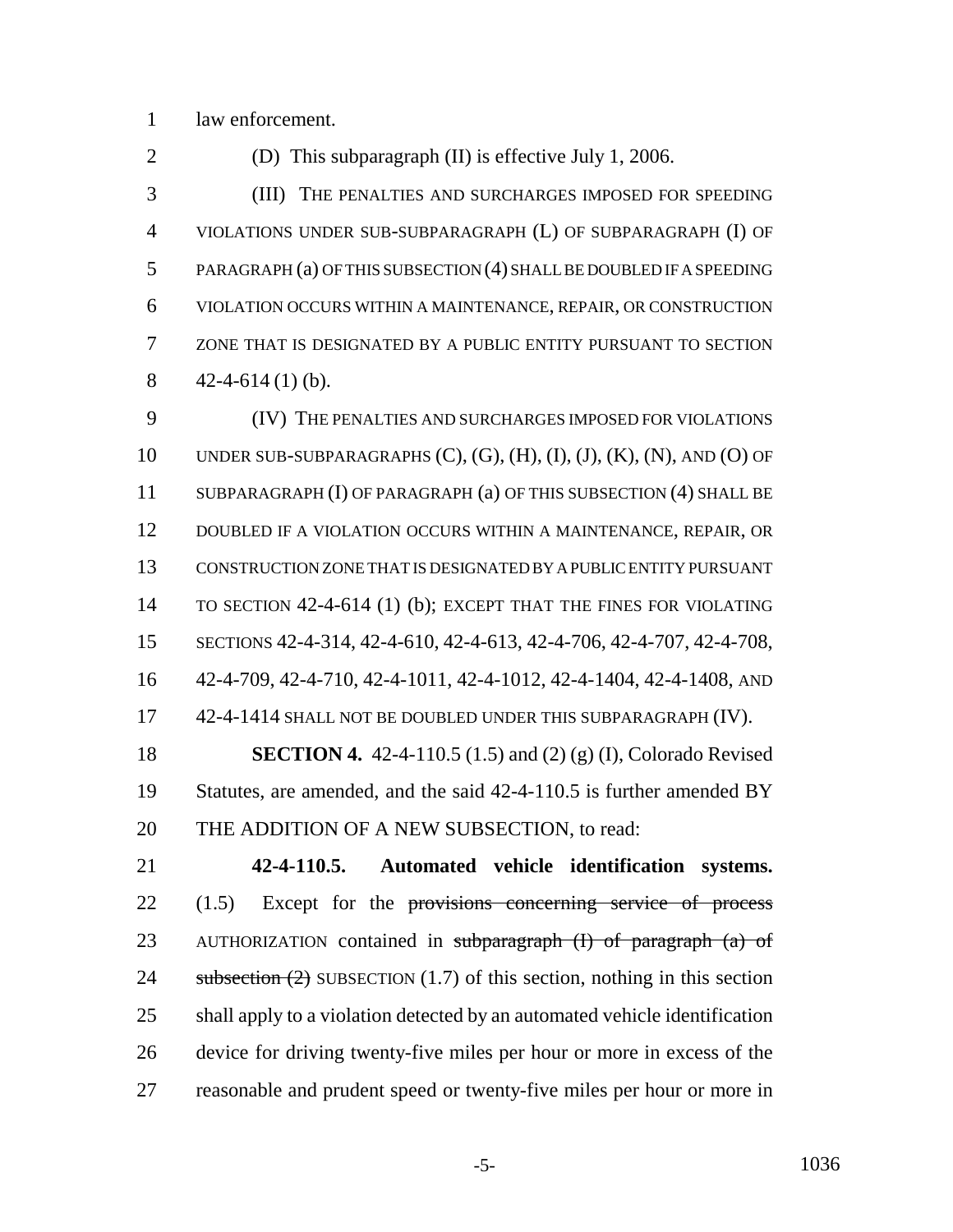law enforcement.

(D) This subparagraph (II) is effective July 1, 2006.

 (III) THE PENALTIES AND SURCHARGES IMPOSED FOR SPEEDING VIOLATIONS UNDER SUB-SUBPARAGRAPH (L) OF SUBPARAGRAPH (I) OF PARAGRAPH (a) OF THIS SUBSECTION (4) SHALL BE DOUBLED IF A SPEEDING VIOLATION OCCURS WITHIN A MAINTENANCE, REPAIR, OR CONSTRUCTION ZONE THAT IS DESIGNATED BY A PUBLIC ENTITY PURSUANT TO SECTION  $42-4-614(1)$  (b).

 (IV) THE PENALTIES AND SURCHARGES IMPOSED FOR VIOLATIONS 10 UNDER SUB-SUBPARAGRAPHS  $(C)$ ,  $(G)$ ,  $(H)$ ,  $(I)$ ,  $(J)$ ,  $(K)$ ,  $(N)$ , AND  $(O)$  OF SUBPARAGRAPH (I) OF PARAGRAPH (a) OF THIS SUBSECTION (4) SHALL BE DOUBLED IF A VIOLATION OCCURS WITHIN A MAINTENANCE, REPAIR, OR CONSTRUCTION ZONE THAT IS DESIGNATED BY A PUBLIC ENTITY PURSUANT TO SECTION 42-4-614 (1) (b); EXCEPT THAT THE FINES FOR VIOLATING SECTIONS 42-4-314, 42-4-610, 42-4-613, 42-4-706, 42-4-707, 42-4-708, 42-4-709, 42-4-710, 42-4-1011, 42-4-1012, 42-4-1404, 42-4-1408, AND 17 42-4-1414 SHALL NOT BE DOUBLED UNDER THIS SUBPARAGRAPH (IV). **SECTION 4.** 42-4-110.5 (1.5) and (2) (g) (I), Colorado Revised

 Statutes, are amended, and the said 42-4-110.5 is further amended BY 20 THE ADDITION OF A NEW SUBSECTION, to read:

 **42-4-110.5. Automated vehicle identification systems.** (1.5) Except for the provisions concerning service of process 23 AUTHORIZATION contained in subparagraph (I) of paragraph (a) of 24 subsection  $(2)$  SUBSECTION  $(1.7)$  of this section, nothing in this section shall apply to a violation detected by an automated vehicle identification device for driving twenty-five miles per hour or more in excess of the reasonable and prudent speed or twenty-five miles per hour or more in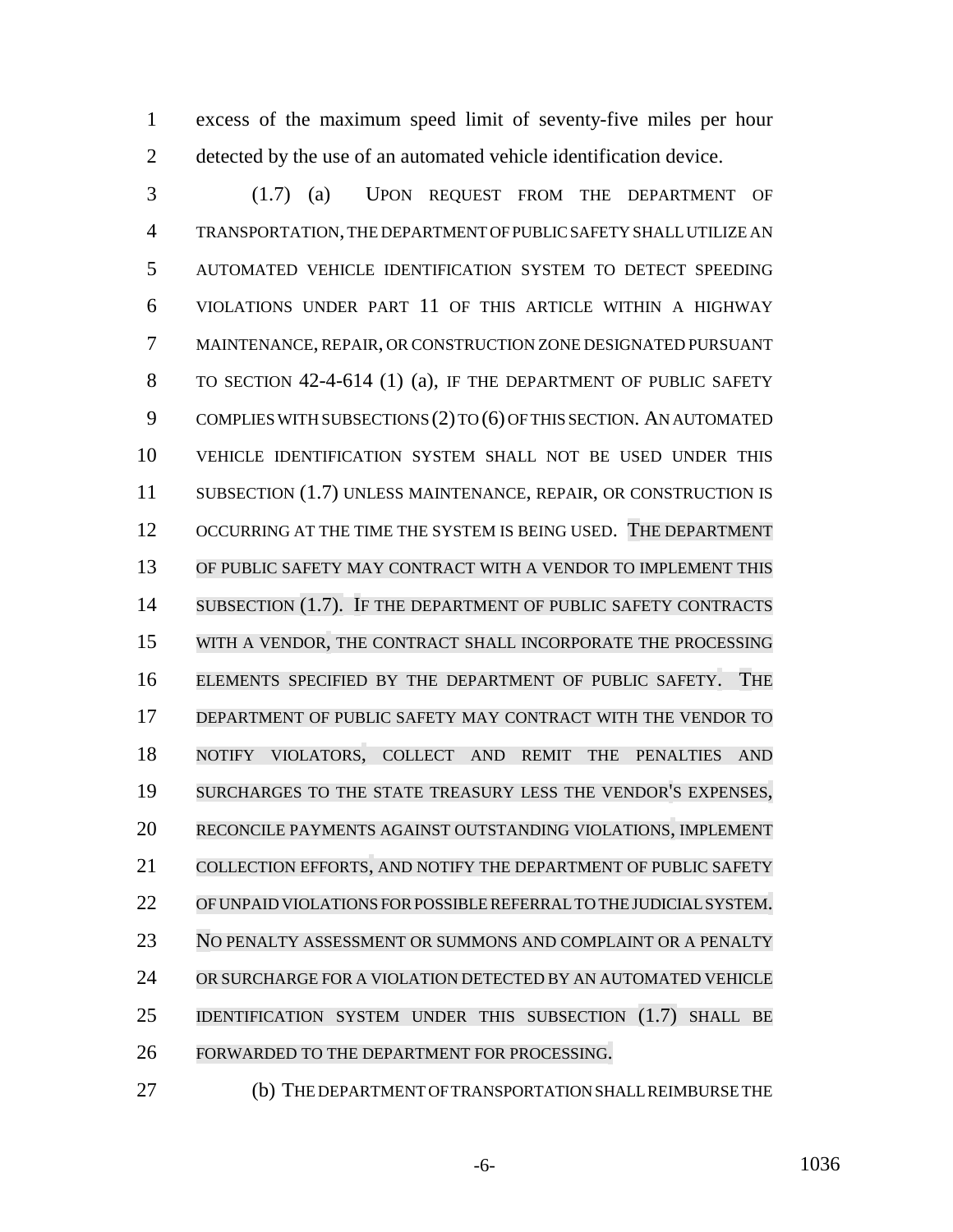excess of the maximum speed limit of seventy-five miles per hour detected by the use of an automated vehicle identification device.

 (1.7) (a) UPON REQUEST FROM THE DEPARTMENT OF TRANSPORTATION, THE DEPARTMENT OF PUBLIC SAFETY SHALL UTILIZE AN AUTOMATED VEHICLE IDENTIFICATION SYSTEM TO DETECT SPEEDING VIOLATIONS UNDER PART 11 OF THIS ARTICLE WITHIN A HIGHWAY MAINTENANCE, REPAIR, OR CONSTRUCTION ZONE DESIGNATED PURSUANT TO SECTION 42-4-614 (1) (a), IF THE DEPARTMENT OF PUBLIC SAFETY COMPLIES WITH SUBSECTIONS (2) TO (6) OF THIS SECTION. AN AUTOMATED VEHICLE IDENTIFICATION SYSTEM SHALL NOT BE USED UNDER THIS 11 SUBSECTION (1.7) UNLESS MAINTENANCE, REPAIR, OR CONSTRUCTION IS 12 OCCURRING AT THE TIME THE SYSTEM IS BEING USED. THE DEPARTMENT OF PUBLIC SAFETY MAY CONTRACT WITH A VENDOR TO IMPLEMENT THIS SUBSECTION (1.7). IF THE DEPARTMENT OF PUBLIC SAFETY CONTRACTS WITH A VENDOR, THE CONTRACT SHALL INCORPORATE THE PROCESSING ELEMENTS SPECIFIED BY THE DEPARTMENT OF PUBLIC SAFETY. THE DEPARTMENT OF PUBLIC SAFETY MAY CONTRACT WITH THE VENDOR TO NOTIFY VIOLATORS, COLLECT AND REMIT THE PENALTIES AND SURCHARGES TO THE STATE TREASURY LESS THE VENDOR'S EXPENSES, RECONCILE PAYMENTS AGAINST OUTSTANDING VIOLATIONS, IMPLEMENT COLLECTION EFFORTS, AND NOTIFY THE DEPARTMENT OF PUBLIC SAFETY OFUNPAID VIOLATIONS FORPOSSIBLEREFERRALTO THE JUDICIAL SYSTEM. 23 NO PENALTY ASSESSMENT OR SUMMONS AND COMPLAINT OR A PENALTY OR SURCHARGE FOR A VIOLATION DETECTED BY AN AUTOMATED VEHICLE IDENTIFICATION SYSTEM UNDER THIS SUBSECTION (1.7) SHALL BE FORWARDED TO THE DEPARTMENT FOR PROCESSING.

(b) THE DEPARTMENT OF TRANSPORTATION SHALL REIMBURSE THE

-6- 1036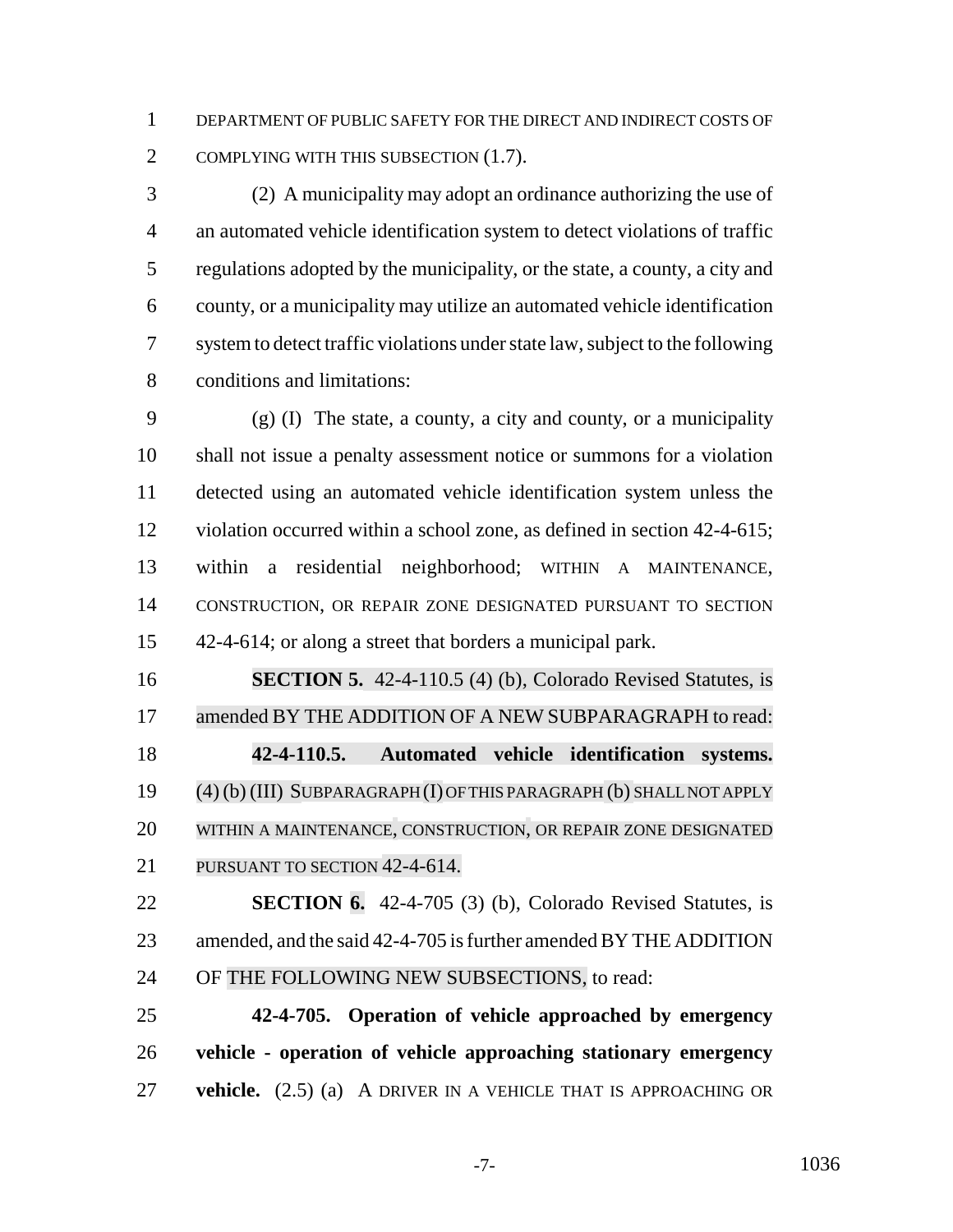DEPARTMENT OF PUBLIC SAFETY FOR THE DIRECT AND INDIRECT COSTS OF 2 COMPLYING WITH THIS SUBSECTION (1.7).

 (2) A municipality may adopt an ordinance authorizing the use of an automated vehicle identification system to detect violations of traffic regulations adopted by the municipality, or the state, a county, a city and county, or a municipality may utilize an automated vehicle identification system to detect traffic violations under state law, subject to the following conditions and limitations:

 (g) (I) The state, a county, a city and county, or a municipality shall not issue a penalty assessment notice or summons for a violation detected using an automated vehicle identification system unless the violation occurred within a school zone, as defined in section 42-4-615; within a residential neighborhood; WITHIN A MAINTENANCE, CONSTRUCTION, OR REPAIR ZONE DESIGNATED PURSUANT TO SECTION 42-4-614; or along a street that borders a municipal park.

 **SECTION 5.** 42-4-110.5 (4) (b), Colorado Revised Statutes, is 17 amended BY THE ADDITION OF A NEW SUBPARAGRAPH to read: **42-4-110.5. Automated vehicle identification systems.** (4) (b) (III) SUBPARAGRAPH (I) OFTHIS PARAGRAPH (b) SHALLNOT APPLY WITHIN A MAINTENANCE, CONSTRUCTION, OR REPAIR ZONE DESIGNATED 21 PURSUANT TO SECTION 42-4-614.

 **SECTION 6.** 42-4-705 (3) (b), Colorado Revised Statutes, is amended, and the said 42-4-705 is further amended BY THE ADDITION 24 OF THE FOLLOWING NEW SUBSECTIONS, to read:

 **42-4-705. Operation of vehicle approached by emergency vehicle - operation of vehicle approaching stationary emergency vehicle.** (2.5) (a) A DRIVER IN A VEHICLE THAT IS APPROACHING OR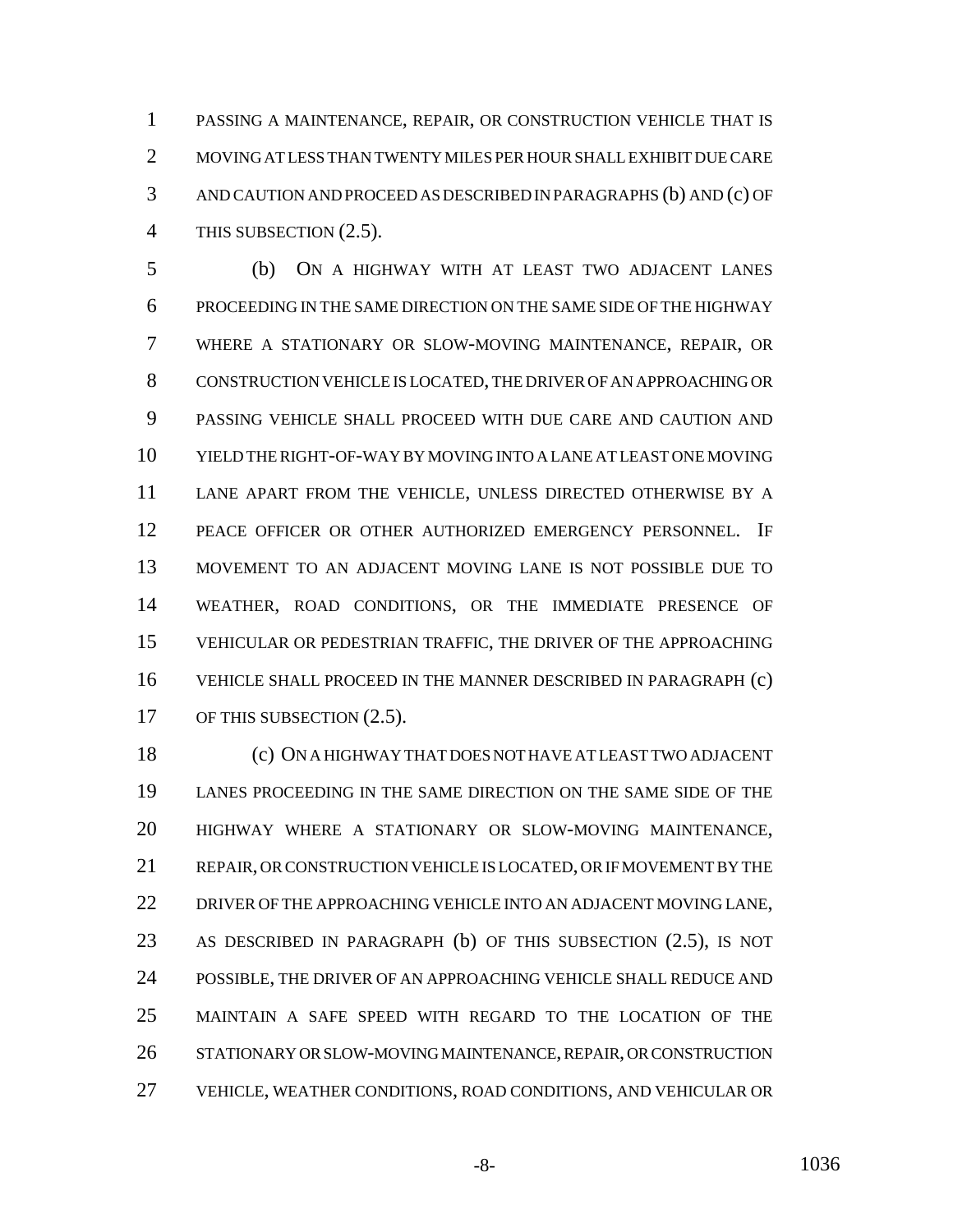PASSING A MAINTENANCE, REPAIR, OR CONSTRUCTION VEHICLE THAT IS MOVING AT LESS THAN TWENTY MILES PER HOUR SHALL EXHIBIT DUE CARE AND CAUTION AND PROCEED AS DESCRIBED IN PARAGRAPHS (b) AND (c) OF 4 THIS SUBSECTION  $(2.5)$ .

 (b) ON A HIGHWAY WITH AT LEAST TWO ADJACENT LANES PROCEEDING IN THE SAME DIRECTION ON THE SAME SIDE OF THE HIGHWAY WHERE A STATIONARY OR SLOW-MOVING MAINTENANCE, REPAIR, OR CONSTRUCTION VEHICLE IS LOCATED, THE DRIVER OF AN APPROACHING OR PASSING VEHICLE SHALL PROCEED WITH DUE CARE AND CAUTION AND YIELD THE RIGHT-OF-WAY BY MOVING INTO A LANE AT LEAST ONE MOVING LANE APART FROM THE VEHICLE, UNLESS DIRECTED OTHERWISE BY A PEACE OFFICER OR OTHER AUTHORIZED EMERGENCY PERSONNEL. IF MOVEMENT TO AN ADJACENT MOVING LANE IS NOT POSSIBLE DUE TO WEATHER, ROAD CONDITIONS, OR THE IMMEDIATE PRESENCE OF VEHICULAR OR PEDESTRIAN TRAFFIC, THE DRIVER OF THE APPROACHING VEHICLE SHALL PROCEED IN THE MANNER DESCRIBED IN PARAGRAPH (c) 17 OF THIS SUBSECTION  $(2.5)$ .

 (c) ON A HIGHWAY THAT DOES NOT HAVE AT LEAST TWO ADJACENT LANES PROCEEDING IN THE SAME DIRECTION ON THE SAME SIDE OF THE HIGHWAY WHERE A STATIONARY OR SLOW-MOVING MAINTENANCE, REPAIR, OR CONSTRUCTION VEHICLE IS LOCATED, OR IF MOVEMENT BY THE 22 DRIVER OF THE APPROACHING VEHICLE INTO AN ADJACENT MOVING LANE, AS DESCRIBED IN PARAGRAPH (b) OF THIS SUBSECTION (2.5), IS NOT POSSIBLE, THE DRIVER OF AN APPROACHING VEHICLE SHALL REDUCE AND MAINTAIN A SAFE SPEED WITH REGARD TO THE LOCATION OF THE STATIONARY OR SLOW-MOVING MAINTENANCE, REPAIR, OR CONSTRUCTION VEHICLE, WEATHER CONDITIONS, ROAD CONDITIONS, AND VEHICULAR OR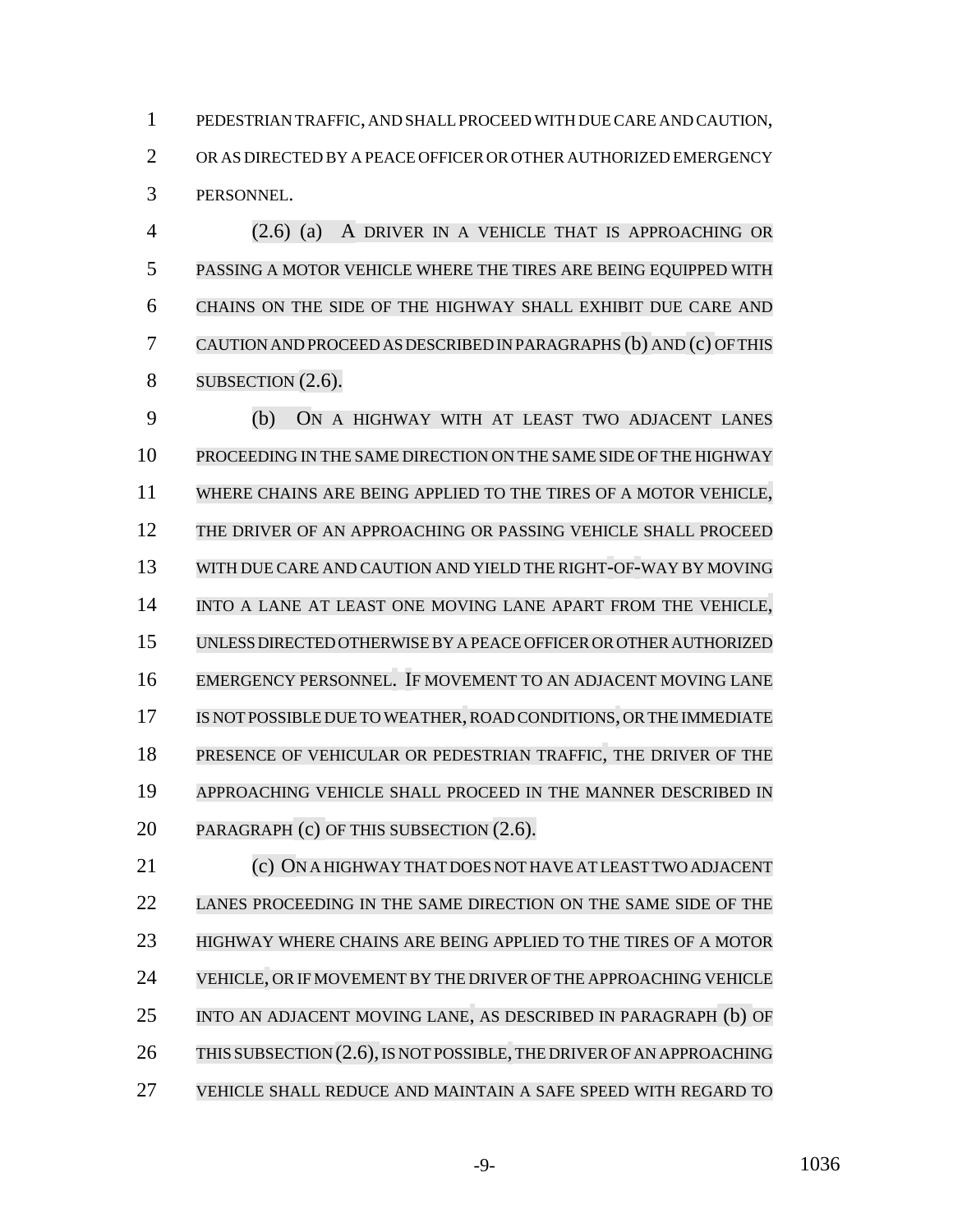PEDESTRIAN TRAFFIC, AND SHALL PROCEED WITH DUE CARE AND CAUTION, OR AS DIRECTED BY A PEACE OFFICER OR OTHER AUTHORIZED EMERGENCY PERSONNEL.

 (2.6) (a) A DRIVER IN A VEHICLE THAT IS APPROACHING OR PASSING A MOTOR VEHICLE WHERE THE TIRES ARE BEING EQUIPPED WITH CHAINS ON THE SIDE OF THE HIGHWAY SHALL EXHIBIT DUE CARE AND CAUTIONANDPROCEEDAS DESCRIBED IN PARAGRAPHS (b) AND (c) OFTHIS 8 SUBSECTION (2.6).

 (b) ON A HIGHWAY WITH AT LEAST TWO ADJACENT LANES PROCEEDING IN THE SAME DIRECTION ON THE SAME SIDE OF THE HIGHWAY WHERE CHAINS ARE BEING APPLIED TO THE TIRES OF A MOTOR VEHICLE, THE DRIVER OF AN APPROACHING OR PASSING VEHICLE SHALL PROCEED WITH DUE CARE AND CAUTION AND YIELD THE RIGHT-OF-WAY BY MOVING INTO A LANE AT LEAST ONE MOVING LANE APART FROM THE VEHICLE, UNLESS DIRECTED OTHERWISE BY A PEACE OFFICER OR OTHER AUTHORIZED EMERGENCY PERSONNEL. IF MOVEMENT TO AN ADJACENT MOVING LANE IS NOT POSSIBLE DUE TO WEATHER,ROAD CONDITIONS, ORTHE IMMEDIATE PRESENCE OF VEHICULAR OR PEDESTRIAN TRAFFIC, THE DRIVER OF THE APPROACHING VEHICLE SHALL PROCEED IN THE MANNER DESCRIBED IN 20 PARAGRAPH (c) OF THIS SUBSECTION (2.6).

 (c) ON A HIGHWAY THAT DOES NOT HAVE AT LEAST TWO ADJACENT LANES PROCEEDING IN THE SAME DIRECTION ON THE SAME SIDE OF THE HIGHWAY WHERE CHAINS ARE BEING APPLIED TO THE TIRES OF A MOTOR VEHICLE, OR IF MOVEMENT BY THE DRIVER OF THE APPROACHING VEHICLE INTO AN ADJACENT MOVING LANE, AS DESCRIBED IN PARAGRAPH (b) OF 26 THIS SUBSECTION (2.6), IS NOT POSSIBLE, THE DRIVER OF AN APPROACHING VEHICLE SHALL REDUCE AND MAINTAIN A SAFE SPEED WITH REGARD TO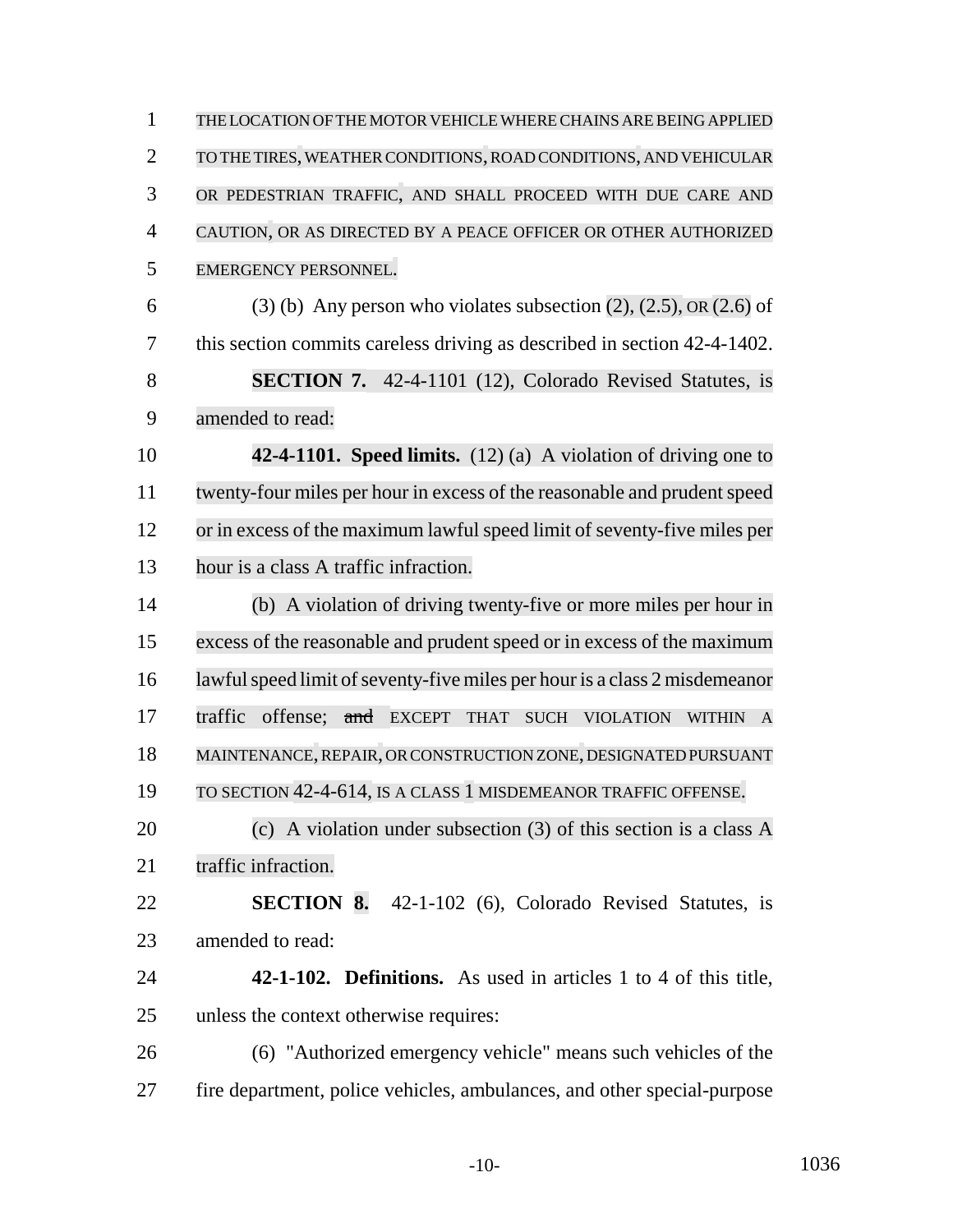THE LOCATION OF THE MOTOR VEHICLE WHERE CHAINS ARE BEING APPLIED TO THE TIRES, WEATHER CONDITIONS,ROAD CONDITIONS, AND VEHICULAR OR PEDESTRIAN TRAFFIC, AND SHALL PROCEED WITH DUE CARE AND CAUTION, OR AS DIRECTED BY A PEACE OFFICER OR OTHER AUTHORIZED EMERGENCY PERSONNEL. 6 (3) (b) Any person who violates subsection  $(2)$ ,  $(2.5)$ , OR  $(2.6)$  of this section commits careless driving as described in section 42-4-1402. **SECTION 7.** 42-4-1101 (12), Colorado Revised Statutes, is amended to read: **42-4-1101. Speed limits.** (12) (a) A violation of driving one to 11 twenty-four miles per hour in excess of the reasonable and prudent speed 12 or in excess of the maximum lawful speed limit of seventy-five miles per hour is a class A traffic infraction. (b) A violation of driving twenty-five or more miles per hour in excess of the reasonable and prudent speed or in excess of the maximum 16 lawful speed limit of seventy-five miles per hour is a class 2 misdemeanor 17 traffic offense; and EXCEPT THAT SUCH VIOLATION WITHIN A MAINTENANCE,REPAIR, ORCONSTRUCTION ZONE, DESIGNATED PURSUANT TO SECTION 42-4-614, IS A CLASS 1 MISDEMEANOR TRAFFIC OFFENSE. (c) A violation under subsection (3) of this section is a class A 21 traffic infraction. **SECTION 8.** 42-1-102 (6), Colorado Revised Statutes, is amended to read: **42-1-102. Definitions.** As used in articles 1 to 4 of this title, unless the context otherwise requires: (6) "Authorized emergency vehicle" means such vehicles of the fire department, police vehicles, ambulances, and other special-purpose